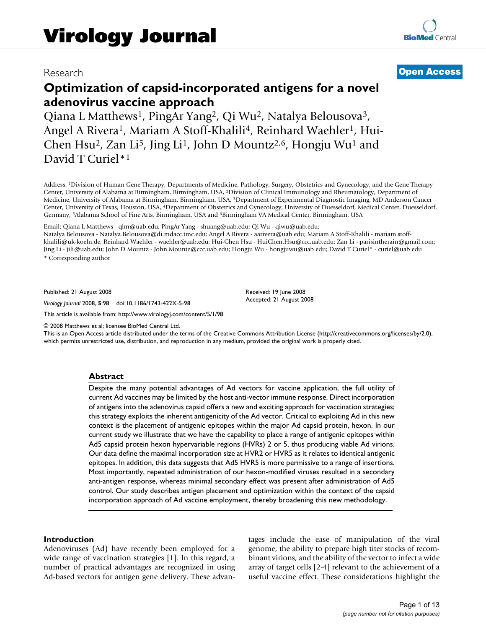# **Optimization of capsid-incorporated antigens for a novel adenovirus vaccine approach**

Qiana L Matthews1, PingAr Yang2, Qi Wu2, Natalya Belousova3, Angel A Rivera<sup>1</sup>, Mariam A Stoff-Khalili<sup>4</sup>, Reinhard Waehler<sup>1</sup>, Hui-Chen Hsu<sup>2</sup>, Zan Li<sup>5</sup>, Jing Li<sup>1</sup>, John D Mountz<sup>2,6</sup>, Hongju Wu<sup>1</sup> and David T Curiel\*1

Address: 1Division of Human Gene Therapy, Departments of Medicine, Pathology, Surgery, Obstetrics and Gynecology, and the Gene Therapy Center, University of Alabama at Birmingham, Birmingham, USA, 2Division of Clinical Immunology and Rheumatology, Department of Medicine, University of Alabama at Birmingham, Birmingham, USA, 3Department of Experimental Diagnostic Imaging, MD Anderson Cancer Center, University of Texas, Houston, USA, 4Department of Obstetrics and Gynecology, University of Duesseldorf, Medical Center, Duesseldorf, Germany, 5Alabama School of Fine Arts, Birmingham, USA and 6Birmingham VA Medical Center, Birmingham, USA

Email: Qiana L Matthews - qlm@uab.edu; PingAr Yang - shuang@uab.edu; Qi Wu - qiwu@uab.edu;

Natalya Belousova - Natalya.Belousova@di.mdacc.tmc.edu; Angel A Rivera - aarivera@uab.edu; Mariam A Stoff-Khalili - mariam.stoffkhalili@uk-koeln.de; Reinhard Waehler - waehler@uab.edu; Hui-Chen Hsu - HuiChen.Hsu@ccc.uab.edu; Zan Li - parisintherain@gmail.com; Jing Li - jili@uab.edu; John D Mountz - John.Mountz@ccc.uab.edu; Hongju Wu - hongjuwu@uab.edu; David T Curiel\* - curiel@uab.edu \* Corresponding author

> Received: 19 June 2008 Accepted: 21 August 2008

Published: 21 August 2008

*Virology Journal* 2008, **5**:98 doi:10.1186/1743-422X-5-98

[This article is available from: http://www.virologyj.com/content/5/1/98](http://www.virologyj.com/content/5/1/98)

© 2008 Matthews et al; licensee BioMed Central Ltd.

This is an Open Access article distributed under the terms of the Creative Commons Attribution License [\(http://creativecommons.org/licenses/by/2.0\)](http://creativecommons.org/licenses/by/2.0), which permits unrestricted use, distribution, and reproduction in any medium, provided the original work is properly cited.

#### **Abstract**

Despite the many potential advantages of Ad vectors for vaccine application, the full utility of current Ad vaccines may be limited by the host anti-vector immune response. Direct incorporation of antigens into the adenovirus capsid offers a new and exciting approach for vaccination strategies; this strategy exploits the inherent antigenicity of the Ad vector. Critical to exploiting Ad in this new context is the placement of antigenic epitopes within the major Ad capsid protein, hexon. In our current study we illustrate that we have the capability to place a range of antigenic epitopes within Ad5 capsid protein hexon hypervariable regions (HVRs) 2 or 5, thus producing viable Ad virions. Our data define the maximal incorporation size at HVR2 or HVR5 as it relates to identical antigenic epitopes. In addition, this data suggests that Ad5 HVR5 is more permissive to a range of insertions. Most importantly, repeated administration of our hexon-modified viruses resulted in a secondary anti-antigen response, whereas minimal secondary effect was present after administration of Ad5 control. Our study describes antigen placement and optimization within the context of the capsid incorporation approach of Ad vaccine employment, thereby broadening this new methodology.

#### **Introduction**

Adenoviruses (Ad) have recently been employed for a wide range of vaccination strategies [1]. In this regard, a number of practical advantages are recognized in using Ad-based vectors for antigen gene delivery. These advantages include the ease of manipulation of the viral genome, the ability to prepare high titer stocks of recombinant virions, and the ability of the vector to infect a wide array of target cells [2-4] relevant to the achievement of a useful vaccine effect. These considerations highlight the

# Research **[Open Access](http://www.biomedcentral.com/info/about/charter/)**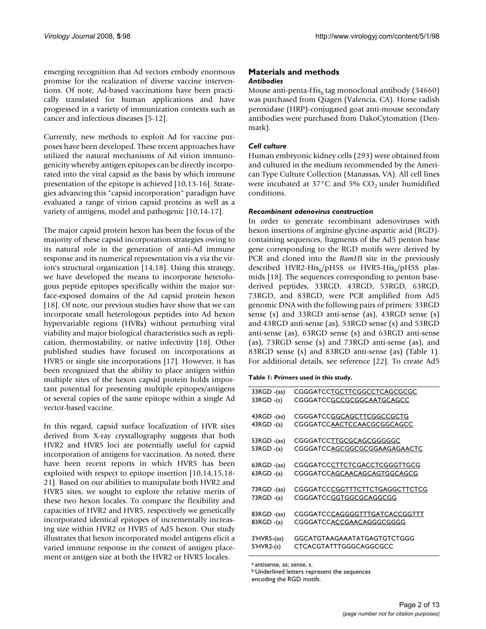emerging recognition that Ad vectors embody enormous promise for the realization of diverse vaccine interventions. Of note, Ad-based vaccinations have been practically translated for human applications and have progressed in a variety of immunization contexts such as cancer and infectious diseases [5-12].

Currently, new methods to exploit Ad for vaccine purposes have been developed. These recent approaches have utilized the natural mechanisms of Ad virion immunogenicity whereby antigen epitopes can be directly incorporated into the viral capsid as the basis by which immune presentation of the epitope is achieved [10,13-16]. Strategies advancing this "capsid incorporation" paradigm have evaluated a range of virion capsid proteins as well as a variety of antigens, model and pathogenic [10,14-17].

The major capsid protein hexon has been the focus of the majority of these capsid incorporation strategies owing to its natural role in the generation of anti-Ad immune response and its numerical representation vis a via the virion's structural organization [14,18]. Using this strategy, we have developed the means to incorporate heterologous peptide epitopes specifically within the major surface-exposed domains of the Ad capsid protein hexon [18]. Of note, our previous studies have show that we can incorporate small heterologous peptides into Ad hexon hypervariable regions (HVRs) without perturbing viral viability and major biological characteristics such as replication, thermostability, or native infectivity [18]. Other published studies have focused on incorporations at HVR5 or single site incorporations [17]. However, it has been recognized that the ability to place antigen within multiple sites of the hexon capsid protein holds important potential for presenting multiple epitopes/antigens or several copies of the same epitope within a single Ad vector-based vaccine.

In this regard, capsid surface localization of HVR sites derived from X-ray crystallography suggests that both HVR2 and HVR5 loci are potentially useful for capsid incorporation of antigens for vaccination. As noted, there have been recent reports in which HVR5 has been exploited with respect to epitope insertion [10,14,15,18- 21]. Based on our abilities to manipulate both HVR2 and HVR5 sites, we sought to explore the relative merits of these two hexon locales. To compare the flexibility and capacities of HVR2 and HVR5, respectively we genetically incorporated identical epitopes of incrementally increasing size within HVR2 or HVR5 of Ad5 hexon. Our study illustrates that hexon incorporated model antigens elicit a varied immune response in the context of antigen placement or antigen size at both the HVR2 or HVR5 locales.

## **Materials and methods** *Antibodies*

Mouse anti-penta-His<sub>6</sub> tag monoclonal antibody (34660) was purchased from Qiagen (Valencia, CA). Horse radish peroxidase (HRP)-conjugated goat anti-mouse secondary antibodies were purchased from DakoCytomation (Denmark).

# *Cell culture*

Human embryonic kidney cells (293) were obtained from and cultured in the medium recommended by the American Type Culture Collection (Manassas, VA). All cell lines were incubated at 37 $\mathrm{^{\circ}C}$  and 5% CO<sub>2</sub> under humidified conditions.

# *Recombinant adenovirus construction*

In order to generate recombinant adenoviruses with hexon insertions of arginine-glycine-aspartic acid (RGD) containing sequences, fragments of the Ad5 penton base gene corresponding to the RGD motifs were derived by PCR and cloned into the *BamH*I site in the previously described HVR2-His $_6$ /pH5S or HVR5-His $_6$ /pH5S plasmids [18]. The sequences corresponding to penton basederived peptides, 33RGD, 43RGD, 53RGD, 63RGD, 73RGD, and 83RGD, were PCR amplified from Ad5 genomic DNA with the following pairs of primers: 33RGD sense (s) and 33RGD anti-sense (as), 43RGD sense (s) and 43RGD anti-sense (as), 53RGD sense (s) and 53RGD anti-sense (as), 63RGD sense (s) and 63RGD anti-sense (as), 73RGD sense (s) and 73RGD anti-sense (as), and 83RGD sense (s) and 83RGD anti-sense (as) (Table 1). For additional details, see reference [22]. To create Ad5

|  |  |  | Table I: Primers used in this study. |  |  |  |  |
|--|--|--|--------------------------------------|--|--|--|--|
|--|--|--|--------------------------------------|--|--|--|--|

| 33RGD -(as)       | CGGGATCCTGCTTCGGCCTCAGCGCGC    |
|-------------------|--------------------------------|
| $33RGD - (s)$     | CGGGATCCGCCGCGGCAATGCAGCC      |
|                   |                                |
| 43RGD -(as)       | CGGGATCCGGCAGCTTCGGCCGCTG      |
| 43RGD -(a)        | CGGGATCCAACTCCAACGCGGCAGCC     |
|                   |                                |
| 53RGD -(as)       | CGGGATCCTTGCGCAGCGGGGGC        |
| 53RGD -(a)        | CGGGATCCAGCGGCGCGGAAGAGAACTC   |
|                   |                                |
| $63RGD - (as)$    | CGGGATCCCTTCTCGACCTCGGGTTGCG   |
| 63RGD -(a)        | CGGGATCCAGCAACAGCAGTGGCAGCG    |
|                   |                                |
| 73RGD -(as)       | CGGGATCCCGGTTTCTTCTGAGGCTTCTCG |
| 73RGD -(a)        | CGGGATCCGGTGGCGCAGGCGG         |
|                   |                                |
| 83RGD -(as)       | CGGGATCCCAGGGGTTTGATCACCGGTTT  |
| 83RGD -(a)        | CGGGATCCACCGAACAGGGCGGGG       |
|                   |                                |
| $3'$ HVR5- $(as)$ | GGCATGTAAGAAATATGAGTGTCTGGG    |
| $5'$ HVR2- $(s)$  | CTCACGTATTTGGGCAGGCGCC         |
|                   |                                |

a antisense, as; sense, s.

b Underlined letters represent the sequences

encoding the RGD motifs.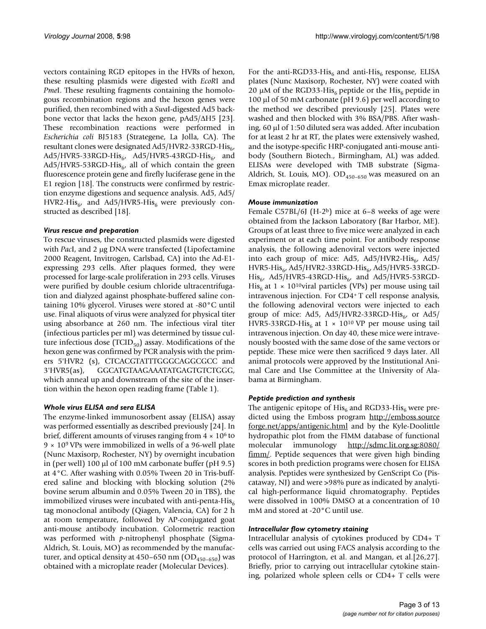vectors containing RGD epitopes in the HVRs of hexon, these resulting plasmids were digested with *EcoR*I and *PmeI*. These resulting fragments containing the homologous recombination regions and the hexon genes were purified, then recombined with a *Swa*I-digested Ad5 backbone vector that lacks the hexon gene, pAd5/ΔH5 [23]. These recombination reactions were performed in *Escherichia coli* BJ5183 (Strategene, La Jolla, CA). The resultant clones were designated Ad5/HVR2-33RGD-His<sub>6</sub>,  $Ad5/HVR5-33RGD-His_{6}$ ,  $Ad5/HVR5-43RGD-His_{6}$ , and Ad5/HVR5-53RGD-His $_{6}$ , all of which contain the green fluorescence protein gene and firefly luciferase gene in the E1 region [18]. The constructs were confirmed by restriction enzyme digestions and sequence analysis. Ad5, Ad5/ HVR2-His<sub>6</sub>, and Ad5/HVR5-His<sub>6</sub> were previously constructed as described [18].

#### *Virus rescue and preparation*

To rescue viruses, the constructed plasmids were digested with *Pac*I, and 2 μg DNA were transfected (Lipofectamine 2000 Reagent, Invitrogen, Carlsbad, CA) into the Ad-E1 expressing 293 cells. After plaques formed, they were processed for large-scale proliferation in 293 cells. Viruses were purified by double cesium chloride ultracentrifugation and dialyzed against phosphate-buffered saline containing 10% glycerol. Viruses were stored at -80°C until use. Final aliquots of virus were analyzed for physical titer using absorbance at 260 nm. The infectious viral titer (infectious particles per ml) was determined by tissue culture infectious dose  $(TCID_{50})$  assay. Modifications of the hexon gene was confirmed by PCR analysis with the primers 5'HVR2 (s), CTCACGTATTTGGGCAGGCGCC and 3'HVR5(as), GGCATGTAAGAAATATGAGTGTCTGGG, which anneal up and downstream of the site of the insertion within the hexon open reading frame (Table 1).

# *Whole virus ELISA and sera ELISA*

The enzyme-linked immunosorbent assay (ELISA) assay was performed essentially as described previously [24]. In brief, different amounts of viruses ranging from  $4 \times 10^6$  to  $9 \times 10^9$  VPs were immobilized in wells of a 96-well plate (Nunc Maxisorp, Rochester, NY) by overnight incubation in (per well) 100 μl of 100 mM carbonate buffer (pH 9.5) at 4°C. After washing with 0.05% Tween 20 in Tris-buffered saline and blocking with blocking solution (2% bovine serum albumin and 0.05% Tween 20 in TBS), the immobilized viruses were incubated with anti-penta-His $_6$ tag monoclonal antibody (Qiagen, Valencia, CA) for 2 h at room temperature, followed by AP-conjugated goat anti-mouse antibody incubation. Colormetric reaction was performed with *p*-nitrophenyl phosphate (Sigma-Aldrich, St. Louis, MO) as recommended by the manufacturer, and optical density at  $450-650$  nm  $(OD<sub>450-650</sub>)$  was obtained with a microplate reader (Molecular Devices).

For the anti-RGD33-His<sub>6</sub> and anti-His<sub>6</sub> response, ELISA plates (Nunc Maxisorp, Rochester, NY) were coated with 20 μM of the RGD33-His<sub>6</sub> peptide or the His<sub>6</sub> peptide in 100 μl of 50 mM carbonate (pH 9.6) per well according to the method we described previously [25]. Plates were washed and then blocked with 3% BSA/PBS. After washing, 60 μl of 1:50 diluted sera was added. After incubation for at least 2 hr at RT, the plates were extensively washed, and the isotype-specific HRP-conjugated anti-mouse antibody (Southern Biotech., Birmingham, AL) was added. ELISAs were developed with TMB substrate (Sigma-Aldrich, St. Louis, MO).  $OD_{450-650}$  was measured on an Emax microplate reader.

#### *Mouse immunization*

Female C57BL/6J (H-2b) mice at 6–8 weeks of age were obtained from the Jackson Laboratory (Bar Harbor, ME). Groups of at least three to five mice were analyzed in each experiment or at each time point. For antibody response analysis, the following adenoviral vectors were injected into each group of mice: Ad5, Ad5/HVR2-His<sub>6</sub>, Ad5/ HVR5-His<sub>6</sub>, Ad5/HVR2-33RGD-His<sub>6</sub>, Ad5/HVR5-33RGD- $His_{6}$ , Ad5/HVR5-43RGD-His<sub>6</sub>, and Ad5/HVR5-53RGD-His<sub>6</sub> at 1 × 10<sup>10</sup>viral particles (VPs) per mouse using tail intravenous injection. For CD4+ T cell response analysis, the following adenoviral vectors were injected to each group of mice: Ad5, Ad5/HVR2-33RGD-His $_{6}$ , or Ad5/ HVR5-33RGD-His<sub>6</sub> at  $1 \times 10^{10}$  VP per mouse using tail intravenous injection. On day 40, these mice were intravenously boosted with the same dose of the same vectors or peptide. These mice were then sacrificed 9 days later. All animal protocols were approved by the Institutional Animal Care and Use Committee at the University of Alabama at Birmingham.

#### *Peptide prediction and synthesis*

The antigenic epitope of  $His<sub>6</sub>$  and RGD33-His<sub>6</sub> were predicted using the Emboss program [http://emboss.source](http://emboss.sourceforge.net/apps/antigenic.html) [forge.net/apps/antigenic.html](http://emboss.sourceforge.net/apps/antigenic.html) and by the Kyle-Doolittle hydropathic plot from the FIMM database of functional molecular immunology [http://sdmc.lit.org.sg:8080/](http://sdmc.lit.org.sg:8080/fimm/) [fimm/.](http://sdmc.lit.org.sg:8080/fimm/) Peptide sequences that were given high binding scores in both prediction programs were chosen for ELISA analysis. Peptides were synthesized by GenScript Co (Piscataway, NJ) and were >98% pure as indicated by analytical high-performance liquid chromatography. Peptides were dissolved in 100% DMSO at a concentration of 10 mM and stored at -20°C until use.

#### *Intracellular flow cytometry staining*

Intracellular analysis of cytokines produced by CD4+ T cells was carried out using FACS analysis according to the protocol of Harrington, et al. and Mangan, et al.[26,27]. Briefly, prior to carrying out intracellular cytokine staining, polarized whole spleen cells or CD4+ T cells were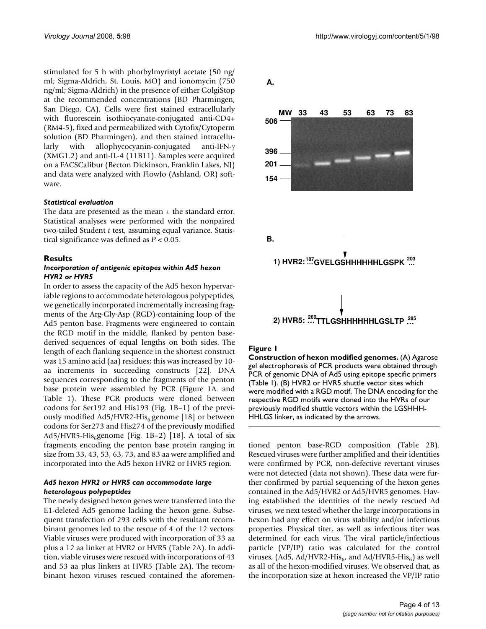stimulated for 5 h with phorbylmyristyl acetate (50 ng/ ml; Sigma-Aldrich, St. Louis, MO) and ionomycin (750 ng/ml; Sigma-Aldrich) in the presence of either GolgiStop at the recommended concentrations (BD Pharmingen, San Diego, CA). Cells were first stained extracellularly with fluorescein isothiocyanate-conjugated anti-CD4+ (RM4-5), fixed and permeabilized with Cytofix/Cytoperm solution (BD Pharmingen), and then stained intracellularly with allophycocyanin-conjugated anti-IFN-γ (XMG1.2) and anti-IL-4 (11B11). Samples were acquired on a FACSCalibur (Becton Dickinson, Franklin Lakes, NJ) and data were analyzed with FlowJo (Ashland, OR) software.

#### *Statistical evaluation*

The data are presented as the mean  $\pm$  the standard error. Statistical analyses were performed with the nonpaired two-tailed Student *t* test, assuming equal variance. Statistical significance was defined as *P* < 0.05.

#### **Results**

#### *Incorporation of antigenic epitopes within Ad5 hexon HVR2 or HVR5*

In order to assess the capacity of the Ad5 hexon hypervariable regions to accommodate heterologous polypeptides, we genetically incorporated incrementally increasing fragments of the Arg-Gly-Asp (RGD)-containing loop of the Ad5 penton base. Fragments were engineered to contain the RGD motif in the middle, flanked by penton basederived sequences of equal lengths on both sides. The length of each flanking sequence in the shortest construct was 15 amino acid (aa) residues; this was increased by 10 aa increments in succeeding constructs [22]. DNA sequences corresponding to the fragments of the penton base protein were assembled by PCR (Figure 1A. and Table 1). These PCR products were cloned between codons for Ser192 and His193 (Fig. 1B–1) of the previously modified Ad5/HVR2-His<sub>6</sub> genome [18] or between codons for Ser273 and His274 of the previously modified Ad5/HVR5-His<sub>6</sub>genome (Fig. 1B-2) [18]. A total of six fragments encoding the penton base protein ranging in size from 33, 43, 53, 63, 73, and 83 aa were amplified and incorporated into the Ad5 hexon HVR2 or HVR5 region.

## *Ad5 hexon HVR2 or HVR5 can accommodate large heterologous polypeptides*

The newly designed hexon genes were transferred into the E1-deleted Ad5 genome lacking the hexon gene. Subsequent transfection of 293 cells with the resultant recombinant genomes led to the rescue of 4 of the 12 vectors. Viable viruses were produced with incorporation of 33 aa plus a 12 aa linker at HVR2 or HVR5 (Table 2A). In addition, viable viruses were rescued with incorporations of 43 and 53 aa plus linkers at HVR5 (Table 2A). The recombinant hexon viruses rescued contained the aforemen-



**2) HVR5: …269TTLGSHHHHHHLGSLTP … 285**

#### Figure 1

**A.**

**Construction of hexon modified genomes.** (A) Agarose gel electrophoresis of PCR products were obtained through PCR of genomic DNA of Ad5 using epitope specific primers (Table 1). (B) HVR2 or HVR5 shuttle vector sites which were modified with a RGD motif. The DNA encoding for the respective RGD motifs were cloned into the HVRs of our previously modified shuttle vectors within the LGSHHH-HHLGS linker, as indicated by the arrows.

tioned penton base-RGD composition (Table 2B). Rescued viruses were further amplified and their identities were confirmed by PCR, non-defective revertant viruses were not detected (data not shown). These data were further confirmed by partial sequencing of the hexon genes contained in the Ad5/HVR2 or Ad5/HVR5 genomes. Having established the identities of the newly rescued Ad viruses, we next tested whether the large incorporations in hexon had any effect on virus stability and/or infectious properties. Physical titer, as well as infectious titer was determined for each virus. The viral particle/infectious particle (VP/IP) ratio was calculated for the control viruses, (Ad5, Ad/HVR2-His<sub>6</sub>, and Ad/HVR5-His<sub>6</sub>) as well as all of the hexon-modified viruses. We observed that, as the incorporation size at hexon increased the VP/IP ratio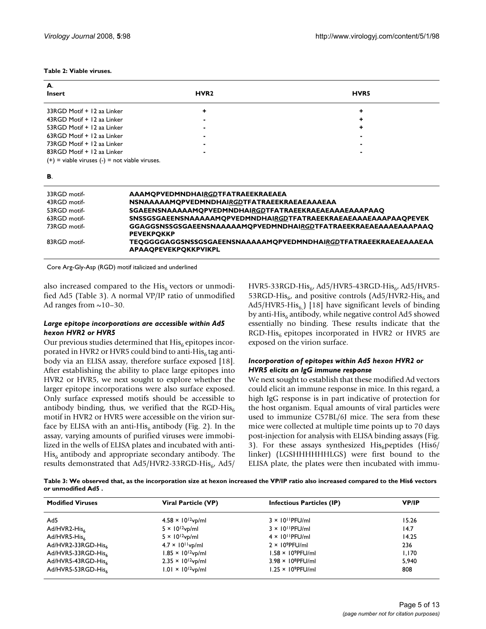| А.                                                 |                  |             |
|----------------------------------------------------|------------------|-------------|
| <b>Insert</b>                                      | HVR <sub>2</sub> | <b>HVR5</b> |
| 33RGD Motif + 12 aa Linker                         |                  |             |
| 43RGD Motif + 12 aa Linker                         |                  |             |
| 53RGD Motif + 12 aa Linker                         |                  |             |
| 63RGD Motif + 12 aa Linker                         |                  |             |
| 73RGD Motif + 12 aa Linker                         |                  |             |
| 83RGD Motif + 12 aa Linker                         |                  |             |
| $(+)$ = viable viruses $(-)$ = not viable viruses. |                  |             |
| В.                                                 |                  |             |

#### **Table 2: Viable viruses.**

| 33RGD motif- | AAAMOPVEDMNDHAIRGDTFATRAEEKRAEAEA                                                                     |
|--------------|-------------------------------------------------------------------------------------------------------|
| 43RGD motif- | <b>NSNAAAAAMOPVEDMNDHAIRGDTFATRAEEKRAEAEAAAEAA</b>                                                    |
| 53RGD motif- | <b>SGAEENSNAAAAAMQPVEDMNDHAIRGDTFATRAEEKRAEAEAAAEAAAPAAQ</b>                                          |
| 63RGD motif- | SNSSGSGAEENSNAAAAAMQPVEDMNDHAIRGDTFATRAEEKRAEAEAAAEAAAPAAQPEVEK                                       |
| 73RGD motif- | GGAGGSNSSGSGAEENSNAAAAAMQPVEDMNDHAIRGDTFATRAEEKRAEAEAAAEAAAPAAQ<br><b>PEVEKPOKKP</b>                  |
| 83RGD motif- | <b>TEOGGGGAGGSNSSGSGAEENSNAAAAAMOPVEDMNDHAIRGDTFATRAEEKRAEAEAAAEAA</b><br><b>APAAOPEVEKPOKKPVIKPL</b> |
|              |                                                                                                       |

Core Arg-Gly-Asp (RGD) motif italicized and underlined

also increased compared to the  $His<sub>6</sub>$  vectors or unmodified Ad5 (Table 3). A normal VP/IP ratio of unmodified Ad ranges from  $\sim$ 10–30.

#### *Large epitope incorporations are accessible within Ad5 hexon HVR2 or HVR5*

Our previous studies determined that  $His<sub>6</sub>$  epitopes incorporated in HVR2 or HVR5 could bind to anti-His<sub>6</sub> tag antibody via an ELISA assay, therefore surface exposed [18]. After establishing the ability to place large epitopes into HVR2 or HVR5, we next sought to explore whether the larger epitope incorporations were also surface exposed. Only surface expressed motifs should be accessible to antibody binding, thus, we verified that the RGD-His<sub>6</sub> motif in HVR2 or HVR5 were accessible on the virion surface by ELISA with an anti-His<sub>6</sub> antibody (Fig. 2). In the assay, varying amounts of purified viruses were immobilized in the wells of ELISA plates and incubated with anti- $His<sub>6</sub>$  antibody and appropriate secondary antibody. The results demonstrated that Ad5/HVR2-33RGD-His $_{6}$ , Ad5/

HVR5-33RGD-His $_6$ , Ad5/HVR5-43RGD-His $_6$ , Ad5/HVR5-53RGD-His<sub>6</sub>, and positive controls (Ad5/HVR2-His<sub>6</sub> and  $Ad5/HVR5-His<sub>6</sub>$ ) [18] have significant levels of binding by anti-His $_6$  antibody, while negative control Ad5 showed essentially no binding. These results indicate that the  $RGD-His<sub>6</sub>$  epitopes incorporated in HVR2 or HVR5 are exposed on the virion surface.

### *Incorporation of epitopes within Ad5 hexon HVR2 or HVR5 elicits an IgG immune response*

We next sought to establish that these modified Ad vectors could elicit an immune response in mice. In this regard, a high IgG response is in part indicative of protection for the host organism. Equal amounts of viral particles were used to immunize C57BL/6J mice. The sera from these mice were collected at multiple time points up to 70 days post-injection for analysis with ELISA binding assays (Fig. 3). For these assays synthesized  $His<sub>6</sub>$  peptides (His6/ linker) (LGSHHHHHHLGS) were first bound to the ELISA plate, the plates were then incubated with immu-

**Table 3: We observed that, as the incorporation size at hexon increased the VP/IP ratio also increased compared to the His6 vectors or unmodified Ad5 .**

| <b>Modified Viruses</b> | Viral Particle (VP)         | <b>Infectious Particles (IP)</b> | <b>VP/IP</b> |
|-------------------------|-----------------------------|----------------------------------|--------------|
| Ad5                     | $4.58 \times 10^{12}$ vp/ml | $3 \times 10^{11}$ PFU/ml        | 15.26        |
| Ad/HVR2-His             | $5 \times 10^{12}$ vp/ml    | $3 \times 10^{11}$ PFU/ml        | 14.7         |
| Ad/HVR5-His             | $5 \times 10^{12}$ vp/ml    | $4 \times 10^{11}$ PFU/ml        | 14.25        |
| Ad/HVR2-33RGD-His       | $4.7 \times 10^{11}$ vp/ml  | $2 \times 10^9$ PFU/ml           | 236          |
| Ad/HVR5-33RGD-His       | $1.85 \times 10^{12}$ vp/ml | $1.58 \times 10^9$ PFU/ml        | 1.170        |
| Ad/HVR5-43RGD-His       | $2.35 \times 10^{12}$ vp/ml | $3.98 \times 10^8$ PFU/ml        | 5.940        |
| Ad/HVR5-53RGD-His       | $1.01 \times 10^{12}$ vp/ml | $1.25 \times 10^9$ PFU/ml        | 808          |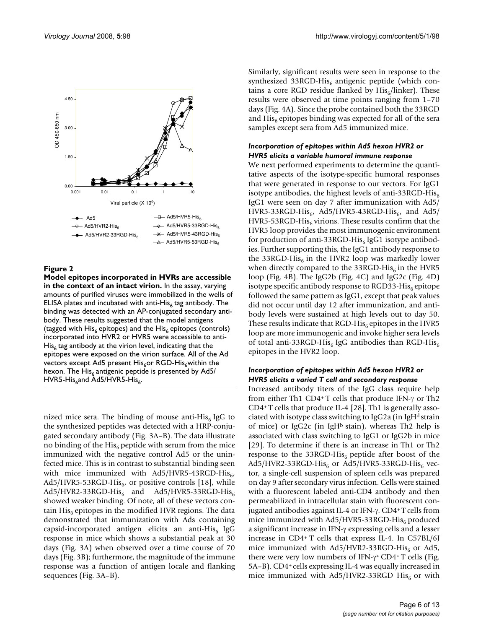

# Figure 2

**Model epitopes incorporated in HVRs are accessible in the context of an intact virion.** In the assay, varying amounts of purified viruses were immobilized in the wells of ELISA plates and incubated with anti-His $_6$  tag antibody. The binding was detected with an AP-conjugated secondary antibody. These results suggested that the model antigens (tagged with His<sub>6</sub> epitopes) and the His<sub>6</sub> epitopes (controls) incorporated into HVR2 or HVR5 were accessible to anti- $His<sub>6</sub>$  tag antibody at the virion level, indicating that the epitopes were exposed on the virion surface. All of the Ad vectors except Ad5 present His<sub>6</sub>or RGD-His<sub>6</sub>within the hexon. The  $His<sub>6</sub>$  antigenic peptide is presented by Ad5/  $HVR5-His<sub>6</sub>$ and Ad5/HVR5-His $_6$ .

nized mice sera. The binding of mouse anti-His $<sub>6</sub>$  IgG to</sub> the synthesized peptides was detected with a HRP-conjugated secondary antibody (Fig. 3A–B). The data illustrate no binding of the His<sub>6</sub> peptide with serum from the mice immunized with the negative control Ad5 or the uninfected mice. This is in contrast to substantial binding seen with mice immunized with  $Ad5/HVR5-43RGD-His<sub>6</sub>$ ,  $Ad5/HVR5-53RGD-His<sub>6</sub>$ , or positive controls [18], while  $Ad5/HVR2-33RGD-His<sub>6</sub>$  and  $Ad5/HVR5-33RGD-His<sub>6</sub>$ showed weaker binding. Of note, all of these vectors contain His<sub>6</sub> epitopes in the modified HVR regions. The data demonstrated that immunization with Ads containing capsid-incorporated antigen elicits an anti-His<sub>6</sub> IgG response in mice which shows a substantial peak at 30 days (Fig. 3A) when observed over a time course of 70 days (Fig. 3B); furthermore, the magnitude of the immune response was a function of antigen locale and flanking sequences (Fig. 3A–B).

Similarly, significant results were seen in response to the synthesized 33RGD-His $_6$  antigenic peptide (which contains a core RGD residue flanked by  $His<sub>6</sub>/linker$ ). These results were observed at time points ranging from 1–70 days (Fig. 4A). Since the probe contained both the 33RGD and  $His<sub>6</sub>$  epitopes binding was expected for all of the sera samples except sera from Ad5 immunized mice.

# *Incorporation of epitopes within Ad5 hexon HVR2 or HVR5 elicits a variable humoral immune response*

We next performed experiments to determine the quantitative aspects of the isotype-specific humoral responses that were generated in response to our vectors. For IgG1 isotype antibodies, the highest levels of anti-33RGD-His $_6$ IgG1 were seen on day 7 after immunization with Ad5/ HVR5-33RGD-His<sub>6</sub>, Ad5/HVR5-43RGD-His<sub>6</sub>, and Ad5/ HVR5-53RGD-His<sub>6</sub> virions. These results confirm that the HVR5 loop provides the most immunogenic environment for production of anti-33RGD-His<sub>6</sub> IgG1 isotype antibodies. Further supporting this, the IgG1 antibody response to the 33RGD-His<sub>6</sub> in the HVR2 loop was markedly lower when directly compared to the 33RGD-His $_6$  in the HVR5 loop (Fig. 4B). The IgG2b (Fig. 4C) and IgG2c (Fig. 4D) isotype specific antibody response to RGD33-His $_6$  epitope followed the same pattern as IgG1, except that peak values did not occur until day 12 after immunization, and antibody levels were sustained at high levels out to day 50. These results indicate that RGD-His<sub>6</sub> epitopes in the HVR5 loop are more immunogenic and invoke higher sera levels of total anti-33RGD-His<sub>6</sub> IgG antibodies than RGD-His<sub>6</sub> epitopes in the HVR2 loop.

# *Incorporation of epitopes within Ad5 hexon HVR2 or HVR5 elicits a varied T cell and secondary response*

Increased antibody titers of the IgG class require help from either Th1 CD4+ T cells that produce IFN-γ or Th2 CD4+ T cells that produce IL-4 [28]. Th1 is generally associated with isotype class switching to IgG2a (in IgH<sup>d</sup> strain of mice) or IgG2c (in IgH<sup>b</sup> stain), whereas Th2 help is associated with class switching to IgG1 or IgG2b in mice [29]. To determine if there is an increase in Th1 or Th2 response to the 33RGD-His $_6$  peptide after boost of the  $Ad5/HVR2-33RGD-His<sub>6</sub>$  or  $Ad5/HVR5-33RGD-His<sub>6</sub>$  vector, a single-cell suspension of spleen cells was prepared on day 9 after secondary virus infection. Cells were stained with a fluorescent labeled anti-CD4 antibody and then permeabilized in intracellular stain with fluorescent conjugated antibodies against IL-4 or IFN-γ. CD4+ T cells from mice immunized with  $Ad5/HVR5-33RGD-His<sub>6</sub>$  produced a significant increase in IFN-γ expressing cells and a lesser increase in CD4+ T cells that express IL-4. In C57BL/6J mice immunized with Ad5/HVR2-33RGD-His<sub>6</sub> or Ad5, there were very low numbers of IFN-γ+ CD4+ T cells (Fig. 5A–B). CD4+ cells expressing IL-4 was equally increased in mice immunized with Ad5/HVR2-33RGD His<sub>6</sub> or with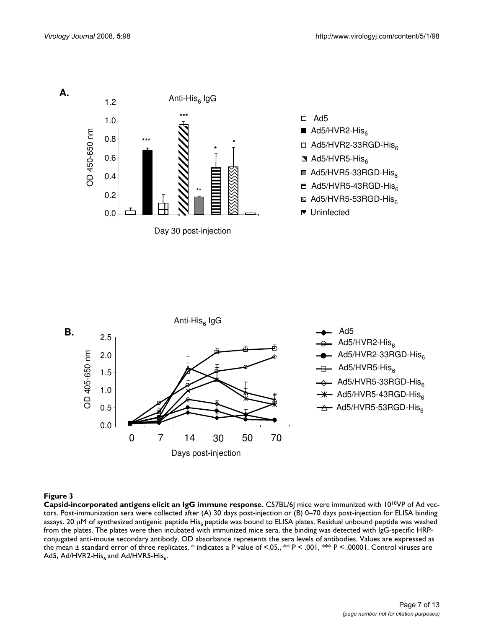

#### Figure 3

**Capsid-incorporated antigens elicit an IgG immune response.** C57BL/6J mice were immunized with 1010VP of Ad vectors. Post-immunization sera were collected after (A) 30 days post-injection or (B) 0–70 days post-injection for ELISA binding assays. 20  $\mu$ M of synthesized antigenic peptide His<sub>6</sub> peptide was bound to ELISA plates. Residual unbound peptide was washed from the plates. The plates were then incubated with immunized mice sera, the binding was detected with IgG-specific HRPconjugated anti-mouse secondary antibody. OD absorbance represents the sera levels of antibodies. Values are expressed as the mean ± standard error of three replicates. \* indicates a P value of <.05., \*\* P < .001, \*\*\* P < .00001. Control viruses are Ad5, Ad/HVR2-His $_6$  and Ad/HVR5-His $_6$ .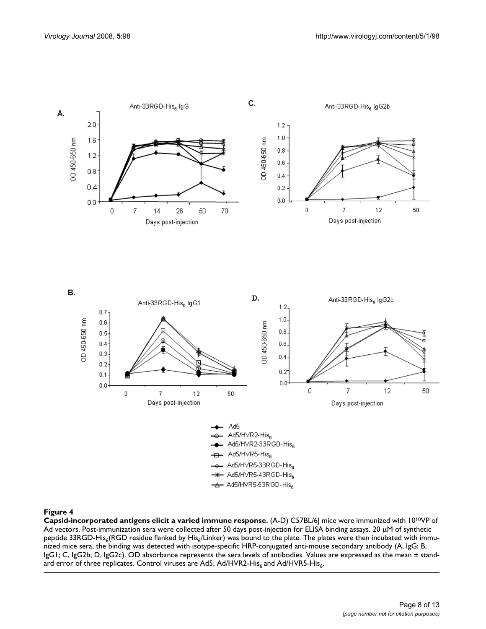

# Figure 4

**Capsid-incorporated antigens elicit a varied immune response.** (A-D) C57BL/6J mice were immunized with 1010VP of Ad vectors. Post-immunization sera were collected after 50 days post-injection for ELISA binding assays. 20 μM of synthetic peptide 33RGD-His<sub>6</sub>(RGD residue flanked by His<sub>6</sub>/Linker) was bound to the plate. The plates were then incubated with immunized mice sera, the binding was detected with isotype-specific HRP-conjugated anti-mouse secondary antibody (A, IgG; B, IgG1; C, IgG2b; D, IgG2c). OD absorbance represents the sera levels of antibodies. Values are expressed as the mean ± standard error of three replicates. Control viruses are Ad5, Ad/HVR2-His $_6$  and Ad/HVR5-His $_6$ .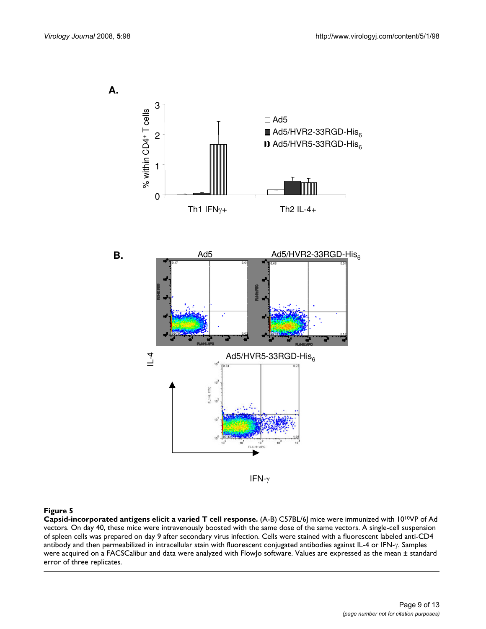**A.**



IFN- $\gamma$ 

#### Figure 5

**Capsid-incorporated antigens elicit a varied T cell response.** (A-B) C57BL/6J mice were immunized with 1010VP of Ad vectors. On day 40, these mice were intravenously boosted with the same dose of the same vectors. A single-cell suspension of spleen cells was prepared on day 9 after secondary virus infection. Cells were stained with a fluorescent labeled anti-CD4 antibody and then permeabilized in intracellular stain with fluorescent conjugated antibodies against IL-4 or IFN-γ. Samples were acquired on a FACSCalibur and data were analyzed with FlowJo software. Values are expressed as the mean ± standard error of three replicates.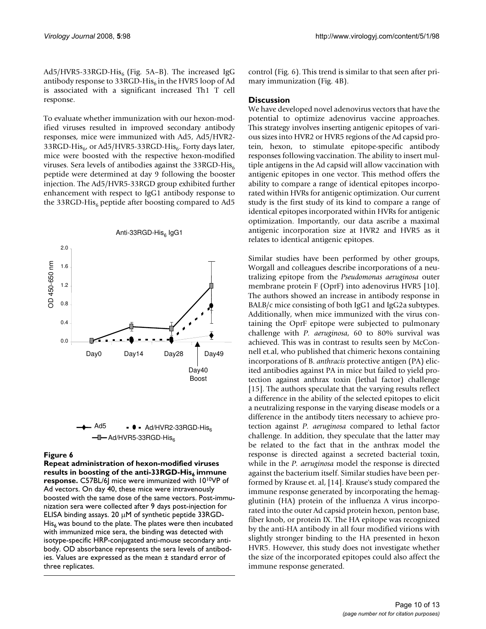Ad5/HVR5-33RGD-His<sub>6</sub> (Fig. 5A–B). The increased IgG antibody response to 33RGD-His<sub>6</sub> in the HVR5 loop of Ad is associated with a significant increased Th1 T cell response.

To evaluate whether immunization with our hexon-modified viruses resulted in improved secondary antibody responses, mice were immunized with Ad5, Ad5/HVR2- 33RGD-His<sub>6</sub>, or Ad5/HVR5-33RGD-His<sub>6</sub>. Forty days later, mice were boosted with the respective hexon-modified viruses. Sera levels of antibodies against the 33RGD-His<sub>6</sub> peptide were determined at day 9 following the booster injection. The Ad5/HVR5-33RGD group exhibited further enhancement with respect to IgG1 antibody response to the 33RGD-His<sub>6</sub> peptide after boosting compared to Ad5





# Repeat administration of hexon-modified viruses results in boosting of the anti-33RGD-His6 **Figure 6** immune response

**Repeat administration of hexon-modified viruses**  results in boosting of the anti-33RGD-His<sub>6</sub> immune **response.** C57BL/6J mice were immunized with 1010VP of Ad vectors. On day 40, these mice were intravenously boosted with the same dose of the same vectors. Post-immunization sera were collected after 9 days post-injection for ELISA binding assays. 20 μM of synthetic peptide 33RGD- $His<sub>6</sub>$  was bound to the plate. The plates were then incubated with immunized mice sera, the binding was detected with isotype-specific HRP-conjugated anti-mouse secondary antibody. OD absorbance represents the sera levels of antibodies. Values are expressed as the mean ± standard error of three replicates.

control (Fig. 6). This trend is similar to that seen after primary immunization (Fig. 4B).

#### **Discussion**

We have developed novel adenovirus vectors that have the potential to optimize adenovirus vaccine approaches. This strategy involves inserting antigenic epitopes of various sizes into HVR2 or HVR5 regions of the Ad capsid protein, hexon, to stimulate epitope-specific antibody responses following vaccination. The ability to insert multiple antigens in the Ad capsid will allow vaccination with antigenic epitopes in one vector. This method offers the ability to compare a range of identical epitopes incorporated within HVRs for antigenic optimization. Our current study is the first study of its kind to compare a range of identical epitopes incorporated within HVRs for antigenic optimization. Importantly, our data ascribe a maximal antigenic incorporation size at HVR2 and HVR5 as it relates to identical antigenic epitopes.

Similar studies have been performed by other groups, Worgall and colleagues describe incorporations of a neutralizing epitope from the *Pseudomonas aeruginosa* outer membrane protein F (OprF) into adenovirus HVR5 [10]. The authors showed an increase in antibody response in BALB/c mice consisting of both IgG1 and IgG2a subtypes. Additionally, when mice immunized with the virus containing the OprF epitope were subjected to pulmonary challenge with *P. aeruginosa*, 60 to 80% survival was achieved. This was in contrast to results seen by McConnell et.al, who published that chimeric hexons containing incorporations of B. *anthracis* protective antigen (PA) elicited antibodies against PA in mice but failed to yield protection against anthrax toxin (lethal factor) challenge [15]. The authors speculate that the varying results reflect a difference in the ability of the selected epitopes to elicit a neutralizing response in the varying disease models or a difference in the antibody titers necessary to achieve protection against *P. aeruginosa* compared to lethal factor challenge. In addition, they speculate that the latter may be related to the fact that in the anthrax model the response is directed against a secreted bacterial toxin, while in the *P. aeruginosa* model the response is directed against the bacterium itself. Similar studies have been performed by Krause et. al, [14]. Krause's study compared the immune response generated by incorporating the hemagglutinin (HA) protein of the influenza A virus incorporated into the outer Ad capsid protein hexon, penton base, fiber knob, or protein IX. The HA epitope was recognized by the anti-HA antibody in all four modified virions with slightly stronger binding to the HA presented in hexon HVR5. However, this study does not investigate whether the size of the incorporated epitopes could also affect the immune response generated.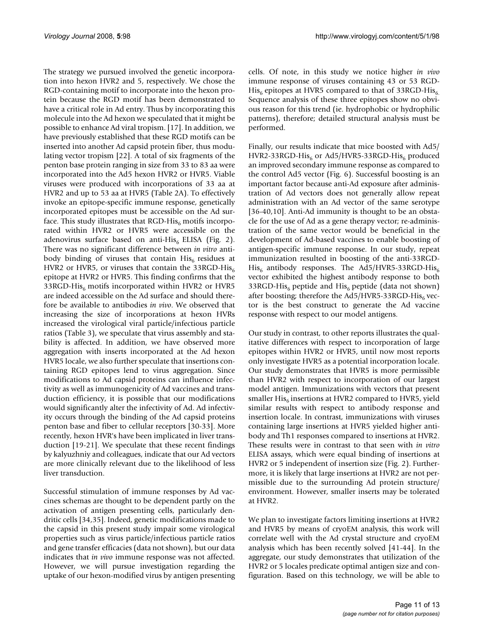The strategy we pursued involved the genetic incorporation into hexon HVR2 and 5, respectively. We chose the RGD-containing motif to incorporate into the hexon protein because the RGD motif has been demonstrated to have a critical role in Ad entry. Thus by incorporating this molecule into the Ad hexon we speculated that it might be possible to enhance Ad viral tropism. [17]. In addition, we have previously established that these RGD motifs can be inserted into another Ad capsid protein fiber, thus modulating vector tropism [22]. A total of six fragments of the penton base protein ranging in size from 33 to 83 aa were incorporated into the Ad5 hexon HVR2 or HVR5. Viable viruses were produced with incorporations of 33 aa at HVR2 and up to 53 aa at HVR5 (Table 2A). To effectively invoke an epitope-specific immune response, genetically incorporated epitopes must be accessible on the Ad surface. This study illustrates that  $RGB-His<sub>6</sub>$  motifs incorporated within HVR2 or HVR5 were accessible on the adenovirus surface based on anti-His<sub>6</sub> ELISA (Fig. 2). There was no significant difference between *in vitro* antibody binding of viruses that contain  $His<sub>6</sub>$  residues at HVR2 or HVR5, or viruses that contain the 33RGD-His<sub>6</sub> epitope at HVR2 or HVR5. This finding confirms that the 33RGD-His $_6$  motifs incorporated within HVR2 or HVR5 are indeed accessible on the Ad surface and should therefore be available to antibodies *in vivo*. We observed that increasing the size of incorporations at hexon HVRs increased the virological viral particle/infectious particle ratios (Table 3), we speculate that virus assembly and stability is affected. In addition, we have observed more aggregation with inserts incorporated at the Ad hexon HVR5 locale, we also further speculate that insertions containing RGD epitopes lend to virus aggregation. Since modifications to Ad capsid proteins can influence infectivity as well as immunogenicity of Ad vaccines and transduction efficiency, it is possible that our modifications would significantly alter the infectivity of Ad. Ad infectivity occurs through the binding of the Ad capsid proteins penton base and fiber to cellular receptors [30-33]. More recently, hexon HVR's have been implicated in liver transduction [19-21]. We speculate that these recent findings by kalyuzhniy and colleagues, indicate that our Ad vectors are more clinically relevant due to the likelihood of less liver transduction.

Successful stimulation of immune responses by Ad vaccines schemas are thought to be dependent partly on the activation of antigen presenting cells, particularly dendritic cells [34,35]. Indeed, genetic modifications made to the capsid in this present study impair some virological properties such as virus particle/infectious particle ratios and gene transfer efficacies (data not shown), but our data indicates that *in vivo* immune response was not affected. However, we will pursue investigation regarding the uptake of our hexon-modified virus by antigen presenting cells. Of note, in this study we notice higher *in vivo* immune response of viruses containing 43 or 53 RGD- $His<sub>6</sub>$  epitopes at HVR5 compared to that of 33RGD-His<sub>6</sub>. Sequence analysis of these three epitopes show no obvious reason for this trend (ie. hydrophobic or hydrophilic patterns), therefore; detailed structural analysis must be performed.

Finally, our results indicate that mice boosted with Ad5/ HVR2-33RGD-His<sub>6</sub> or Ad5/HVR5-33RGD-His<sub>6</sub> produced an improved secondary immune response as compared to the control Ad5 vector (Fig. 6). Successful boosting is an important factor because anti-Ad exposure after administration of Ad vectors does not generally allow repeat administration with an Ad vector of the same serotype [36-40,10]. Anti-Ad immunity is thought to be an obstacle for the use of Ad as a gene therapy vector; re-administration of the same vector would be beneficial in the development of Ad-based vaccines to enable boosting of antigen-specific immune response. In our study, repeat immunization resulted in boosting of the anti-33RGD- $His<sub>6</sub>$  antibody responses. The Ad5/HVR5-33RGD-His<sub>6</sub> vector exhibited the highest antibody response to both 33RGD-His<sub>6</sub> peptide and His<sub>6</sub> peptide (data not shown) after boosting; therefore the Ad5/HVR5-33RGD-His $_6$  vector is the best construct to generate the Ad vaccine response with respect to our model antigens.

Our study in contrast, to other reports illustrates the qualitative differences with respect to incorporation of large epitopes within HVR2 or HVR5, until now most reports only investigate HVR5 as a potential incorporation locale. Our study demonstrates that HVR5 is more permissible than HVR2 with respect to incorporation of our largest model antigen. Immunizations with vectors that present smaller  $His<sub>6</sub>$  insertions at HVR2 compared to HVR5, yield similar results with respect to antibody response and insertion locale. In contrast, immunizations with viruses containing large insertions at HVR5 yielded higher antibody and Th1 responses compared to insertions at HVR2. These results were in contrast to that seen with *in vitro* ELISA assays, which were equal binding of insertions at HVR2 or 5 independent of insertion size (Fig. 2). Furthermore, it is likely that large insertions at HVR2 are not permissible due to the surrounding Ad protein structure/ environment. However, smaller inserts may be tolerated at HVR2.

We plan to investigate factors limiting insertions at HVR2 and HVR5 by means of cryoEM analysis, this work will correlate well with the Ad crystal structure and cryoEM analysis which has been recently solved [41-44]. In the aggregate, our study demonstrates that utilization of the HVR2 or 5 locales predicate optimal antigen size and configuration. Based on this technology, we will be able to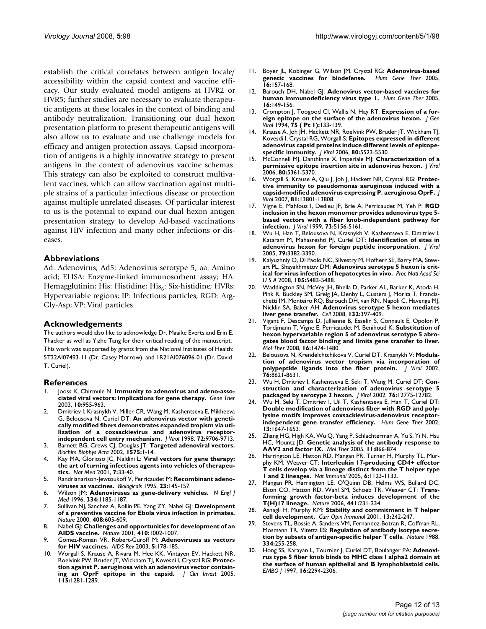establish the critical correlates between antigen locale/ accessibility within the capsid context and vaccine efficacy. Our study evaluated model antigens at HVR2 or HVR5; further studies are necessary to evaluate therapeutic antigens at these locales in the context of binding and antibody neutralization. Transitioning our dual hexon presentation platform to present therapeutic antigens will also allow us to evaluate and use challenge models for efficacy and antigen protection assays. Capsid incorporation of antigens is a highly innovative strategy to present antigens in the context of adenovirus vaccine schemas. This strategy can also be exploited to construct multivalent vaccines, which can allow vaccination against multiple strains of a particular infectious disease or protection against multiple unrelated diseases. Of particular interest to us is the potential to expand our dual hexon antigen presentation strategy to develop Ad-based vaccinations against HIV infection and many other infections or diseases.

### **Abbreviations**

Ad: Adenovirus; Ad5: Adenovirus serotype 5; aa: Amino acid; ELISA: Enzyme-linked immunosorbent assay; HA: Hemagglutinin; His: Histidine; His<sub>6</sub>: Six-histidine; HVRs: Hypervariable regions; IP: Infectious particles; RGD: Arg-Gly-Asp; VP: Viral particles.

#### **Acknowledgements**

The authors would also like to acknowledge Dr. Maaike Everts and Erin E. Thacker as well as Yizhe Tang for their critical reading of the manuscript. This work was supported by grants from the National Institutes of Health: 5T32AI07493-11 (Dr. Casey Morrow), and 1R21AI076096-01 (Dr. David T. Curiel).

#### **References**

- Jooss K, Chirmule N: [Immunity to adenovirus and adeno-asso](http://www.ncbi.nlm.nih.gov/entrez/query.fcgi?cmd=Retrieve&db=PubMed&dopt=Abstract&list_uids=12756416)**[ciated viral vectors: implications for gene therapy.](http://www.ncbi.nlm.nih.gov/entrez/query.fcgi?cmd=Retrieve&db=PubMed&dopt=Abstract&list_uids=12756416)** *Gene Ther* 2003, **10:**955-963.
- 2. Dmitriev I, Krasnykh V, Miller CR, Wang M, Kashentseva E, Mikheeva G, Belousova N, Curiel DT: **[An adenovirus vector with geneti](http://www.ncbi.nlm.nih.gov/entrez/query.fcgi?cmd=Retrieve&db=PubMed&dopt=Abstract&list_uids=9811704)[cally modified fibers demonstrates expanded tropism via uti](http://www.ncbi.nlm.nih.gov/entrez/query.fcgi?cmd=Retrieve&db=PubMed&dopt=Abstract&list_uids=9811704)lization of a coxsackievirus and adenovirus receptor[independent cell entry mechanism.](http://www.ncbi.nlm.nih.gov/entrez/query.fcgi?cmd=Retrieve&db=PubMed&dopt=Abstract&list_uids=9811704)** *J Virol* 1998, **72:**9706-9713.
- 3. Barnett BG, Crews CJ, Douglas JT: **[Targeted adenoviral vectors.](http://www.ncbi.nlm.nih.gov/entrez/query.fcgi?cmd=Retrieve&db=PubMed&dopt=Abstract&list_uids=12020813)** *Biochim Biophys Acta* 2002, **1575:**1-14.
- 4. Kay MA, Glorioso JC, Naldini L: **[Viral vectors for gene therapy:](http://www.ncbi.nlm.nih.gov/entrez/query.fcgi?cmd=Retrieve&db=PubMed&dopt=Abstract&list_uids=11135613) [the art of turning infectious agents into vehicles of therapeu](http://www.ncbi.nlm.nih.gov/entrez/query.fcgi?cmd=Retrieve&db=PubMed&dopt=Abstract&list_uids=11135613)[tics.](http://www.ncbi.nlm.nih.gov/entrez/query.fcgi?cmd=Retrieve&db=PubMed&dopt=Abstract&list_uids=11135613)** *Nat Med* 2001, **7:**33-40.
- 5. Randrianarison-Jewtoukoff V, Perricaudet M: **[Recombinant adeno](http://www.ncbi.nlm.nih.gov/entrez/query.fcgi?cmd=Retrieve&db=PubMed&dopt=Abstract&list_uids=7546657)[viruses as vaccines.](http://www.ncbi.nlm.nih.gov/entrez/query.fcgi?cmd=Retrieve&db=PubMed&dopt=Abstract&list_uids=7546657)** *Biologicals* 1995, **23:**145-157.
- 6. Wilson JM: **[Adenoviruses as gene-delivery vehicles.](http://www.ncbi.nlm.nih.gov/entrez/query.fcgi?cmd=Retrieve&db=PubMed&dopt=Abstract&list_uids=8602187)** *N Engl J Med* 1996, **334:**1185-1187.
- 7. Sullivan NJ, Sanchez A, Rollin PE, Yang ZY, Nabel GJ: **[Development](http://www.ncbi.nlm.nih.gov/entrez/query.fcgi?cmd=Retrieve&db=PubMed&dopt=Abstract&list_uids=11117750) [of a preventive vaccine for Ebola virus infection in primates.](http://www.ncbi.nlm.nih.gov/entrez/query.fcgi?cmd=Retrieve&db=PubMed&dopt=Abstract&list_uids=11117750)** *Nature* 2000, **408:**605-609.
- 8. Nabel GJ: **[Challenges and opportunities for development of an](http://www.ncbi.nlm.nih.gov/entrez/query.fcgi?cmd=Retrieve&db=PubMed&dopt=Abstract&list_uids=11309631) [AIDS vaccine.](http://www.ncbi.nlm.nih.gov/entrez/query.fcgi?cmd=Retrieve&db=PubMed&dopt=Abstract&list_uids=11309631)** *Nature* 2001, **410:**1002-1007.
- 9. Gomez-Roman VR, Robert-Guroff M: **[Adenoviruses as vectors](http://www.ncbi.nlm.nih.gov/entrez/query.fcgi?cmd=Retrieve&db=PubMed&dopt=Abstract&list_uids=14598567) [for HIV vaccines.](http://www.ncbi.nlm.nih.gov/entrez/query.fcgi?cmd=Retrieve&db=PubMed&dopt=Abstract&list_uids=14598567)** *AIDS Rev* 2003, **5:**178-185.
- 10. Worgall S, Krause A, Rivara M, Hee KK, Vintayen EV, Hackett NR, Roelvink PW, Bruder JT, Wickham TJ, Kovesdi I, Crystal RG: **[Protec](http://www.ncbi.nlm.nih.gov/entrez/query.fcgi?cmd=Retrieve&db=PubMed&dopt=Abstract&list_uids=15841217)[tion against P. aeruginosa with an adenovirus vector contain](http://www.ncbi.nlm.nih.gov/entrez/query.fcgi?cmd=Retrieve&db=PubMed&dopt=Abstract&list_uids=15841217)[ing an OprF epitope in the capsid.](http://www.ncbi.nlm.nih.gov/entrez/query.fcgi?cmd=Retrieve&db=PubMed&dopt=Abstract&list_uids=15841217)** *J Clin Invest* 2005, **115:**1281-1289.
- 11. Boyer JL, Kobinger G, Wilson JM, Crystal RG: **[Adenovirus-based](http://www.ncbi.nlm.nih.gov/entrez/query.fcgi?cmd=Retrieve&db=PubMed&dopt=Abstract&list_uids=15761256)** [genetic vaccines for biodefense.](http://www.ncbi.nlm.nih.gov/entrez/query.fcgi?cmd=Retrieve&db=PubMed&dopt=Abstract&list_uids=15761256) **16:**157-168.
- 12. Barouch DH, Nabel G|: [Adenovirus vector-based vaccines for](http://www.ncbi.nlm.nih.gov/entrez/query.fcgi?cmd=Retrieve&db=PubMed&dopt=Abstract&list_uids=15761255) **[human immunodeficiency virus type 1.](http://www.ncbi.nlm.nih.gov/entrez/query.fcgi?cmd=Retrieve&db=PubMed&dopt=Abstract&list_uids=15761255)** *Hum Gene Ther* 2005, **16:**149-156.
- 13. Crompton J, Toogood CI, Wallis N, Hay RT: **[Expression of a for](http://www.ncbi.nlm.nih.gov/entrez/query.fcgi?cmd=Retrieve&db=PubMed&dopt=Abstract&list_uids=7509367)[eign epitope on the surface of the adenovirus hexon.](http://www.ncbi.nlm.nih.gov/entrez/query.fcgi?cmd=Retrieve&db=PubMed&dopt=Abstract&list_uids=7509367)** *J Gen Virol* 1994, **75 ( Pt 1):**133-139.
- 14. Krause A, Joh JH, Hackett NR, Roelvink PW, Bruder JT, Wickham TJ, Kovesdi I, Crystal RG, Worgall S: **[Epitopes expressed in different](http://www.ncbi.nlm.nih.gov/entrez/query.fcgi?cmd=Retrieve&db=PubMed&dopt=Abstract&list_uids=16699033) [adenovirus capsid proteins induce different levels of epitope](http://www.ncbi.nlm.nih.gov/entrez/query.fcgi?cmd=Retrieve&db=PubMed&dopt=Abstract&list_uids=16699033)[specific immunity.](http://www.ncbi.nlm.nih.gov/entrez/query.fcgi?cmd=Retrieve&db=PubMed&dopt=Abstract&list_uids=16699033)** *J Virol* 2006, **80:**5523-5530.
- 15. McConnell MJ, Danthinne X, Imperiale MJ: **[Characterization of a](http://www.ncbi.nlm.nih.gov/entrez/query.fcgi?cmd=Retrieve&db=PubMed&dopt=Abstract&list_uids=16699016) [permissive epitope insertion site in adenovirus hexon.](http://www.ncbi.nlm.nih.gov/entrez/query.fcgi?cmd=Retrieve&db=PubMed&dopt=Abstract&list_uids=16699016)** *J Virol* 2006, **80:**5361-5370.
- 16. Worgall S, Krause A, Qiu J, Joh J, Hackett NR, Crystal RG: **[Protec](http://www.ncbi.nlm.nih.gov/entrez/query.fcgi?cmd=Retrieve&db=PubMed&dopt=Abstract&list_uids=17942539)[tive immunity to pseudomonas aeruginosa induced with a](http://www.ncbi.nlm.nih.gov/entrez/query.fcgi?cmd=Retrieve&db=PubMed&dopt=Abstract&list_uids=17942539) [capsid-modified adenovirus expressing P. aeruginosa OprF.](http://www.ncbi.nlm.nih.gov/entrez/query.fcgi?cmd=Retrieve&db=PubMed&dopt=Abstract&list_uids=17942539)** *J Virol* 2007, **81:**13801-13808.
- 17. Vigne E, Mahfouz I, Dedieu JF, Brie A, Perricaudet M, Yeh P: **[RGD](http://www.ncbi.nlm.nih.gov/entrez/query.fcgi?cmd=Retrieve&db=PubMed&dopt=Abstract&list_uids=10233980) [inclusion in the hexon monomer provides adenovirus type 5](http://www.ncbi.nlm.nih.gov/entrez/query.fcgi?cmd=Retrieve&db=PubMed&dopt=Abstract&list_uids=10233980) based vectors with a fiber knob-independent pathway for [infection.](http://www.ncbi.nlm.nih.gov/entrez/query.fcgi?cmd=Retrieve&db=PubMed&dopt=Abstract&list_uids=10233980)** *J Virol* 1999, **73:**5156-5161.
- 18. Wu H, Han T, Belousova N, Krasnykh V, Kashentseva E, Dmitriev I, Kataram M, Mahasreshti PJ, Curiel DT: **[Identification of sites in](http://www.ncbi.nlm.nih.gov/entrez/query.fcgi?cmd=Retrieve&db=PubMed&dopt=Abstract&list_uids=15731232) [adenovirus hexon for foreign peptide incorporation.](http://www.ncbi.nlm.nih.gov/entrez/query.fcgi?cmd=Retrieve&db=PubMed&dopt=Abstract&list_uids=15731232)** *J Virol* 2005, **79:**3382-3390.
- 19. Kalyuzhniy O, Di Paolo NC, Silvestry M, Hofherr SE, Barry MA, Stewart PL, Shayakhmetov DM: **[Adenovirus serotype 5 hexon is crit](http://www.ncbi.nlm.nih.gov/entrez/query.fcgi?cmd=Retrieve&db=PubMed&dopt=Abstract&list_uids=18391209)[ical for virus infection of hepatocytes in vivo.](http://www.ncbi.nlm.nih.gov/entrez/query.fcgi?cmd=Retrieve&db=PubMed&dopt=Abstract&list_uids=18391209)** *Proc Natl Acad Sci U S A* 2008, **105:**5483-5488.
- 20. Waddington SN, McVey JH, Bhella D, Parker AL, Barker K, Atoda H, Pink R, Buckley SM, Greig JA, Denby L, Custers J, Morita T, Francischetti IM, Monteiro RQ, Barouch DH, van RN, Napoli C, Havenga MJ, Nicklin SA, Baker AH: **[Adenovirus serotype 5 hexon mediates](http://www.ncbi.nlm.nih.gov/entrez/query.fcgi?cmd=Retrieve&db=PubMed&dopt=Abstract&list_uids=18267072) [liver gene transfer.](http://www.ncbi.nlm.nih.gov/entrez/query.fcgi?cmd=Retrieve&db=PubMed&dopt=Abstract&list_uids=18267072)** *Cell* 2008, **132:**397-409.
- 21. Vigant F, Descamps D, Jullienne B, Esselin S, Connault E, Opolon P, Tordjmann T, Vigne E, Perricaudet M, Benihoud K: **[Substitution of](http://www.ncbi.nlm.nih.gov/entrez/query.fcgi?cmd=Retrieve&db=PubMed&dopt=Abstract&list_uids=18560416) [hexon hypervariable region 5 of adenovirus serotype 5 abro](http://www.ncbi.nlm.nih.gov/entrez/query.fcgi?cmd=Retrieve&db=PubMed&dopt=Abstract&list_uids=18560416)gates blood factor binding and limits gene transfer to liver.** *Mol Ther* 2008, **16:**1474-1480.
- 22. Belousova N, Krendelchtchikova V, Curiel DT, Krasnykh V: **[Modula](http://www.ncbi.nlm.nih.gov/entrez/query.fcgi?cmd=Retrieve&db=PubMed&dopt=Abstract&list_uids=12163581)[tion of adenovirus vector tropism via incorporation of](http://www.ncbi.nlm.nih.gov/entrez/query.fcgi?cmd=Retrieve&db=PubMed&dopt=Abstract&list_uids=12163581) [polypeptide ligands into the fiber protein.](http://www.ncbi.nlm.nih.gov/entrez/query.fcgi?cmd=Retrieve&db=PubMed&dopt=Abstract&list_uids=12163581)** *J Virol* 2002, **76:**8621-8631.
- 23. Wu H, Dmitriev I, Kashentseva E, Seki T, Wang M, Curiel DT: **[Con](http://www.ncbi.nlm.nih.gov/entrez/query.fcgi?cmd=Retrieve&db=PubMed&dopt=Abstract&list_uids=12438602)[struction and characterization of adenovirus serotype 5](http://www.ncbi.nlm.nih.gov/entrez/query.fcgi?cmd=Retrieve&db=PubMed&dopt=Abstract&list_uids=12438602) [packaged by serotype 3 hexon.](http://www.ncbi.nlm.nih.gov/entrez/query.fcgi?cmd=Retrieve&db=PubMed&dopt=Abstract&list_uids=12438602)** *J Virol* 2002, **76:**12775-12782.
- 24. Wu H, Seki T, Dmitriev I, Uil T, Kashentseva E, Han T, Curiel DT: **[Double modification of adenovirus fiber with RGD and poly](http://www.ncbi.nlm.nih.gov/entrez/query.fcgi?cmd=Retrieve&db=PubMed&dopt=Abstract&list_uids=12228019)lysine motifs improves coxsackievirus-adenovirus receptor[independent gene transfer efficiency.](http://www.ncbi.nlm.nih.gov/entrez/query.fcgi?cmd=Retrieve&db=PubMed&dopt=Abstract&list_uids=12228019)** *Hum Gene Ther* 2002, **13:**1647-1653.
- 25. Zhang HG, High KA, Wu Q, Yang P, Schlachterman A, Yu S, Yi N, Hsu HC, Mountz JD: **[Genetic analysis of the antibody response to](http://www.ncbi.nlm.nih.gov/entrez/query.fcgi?cmd=Retrieve&db=PubMed&dopt=Abstract&list_uids=15922957) [AAV2 and factor IX.](http://www.ncbi.nlm.nih.gov/entrez/query.fcgi?cmd=Retrieve&db=PubMed&dopt=Abstract&list_uids=15922957)** *Mol Ther* 2005, **11:**866-874.
- 26. Harrington LE, Hatton RD, Mangan PR, Turner H, Murphy TL, Murphy KM, Weaver CT: **[Interleukin 17-producing CD4+ effector](http://www.ncbi.nlm.nih.gov/entrez/query.fcgi?cmd=Retrieve&db=PubMed&dopt=Abstract&list_uids=16200070) [T cells develop via a lineage distinct from the T helper type](http://www.ncbi.nlm.nih.gov/entrez/query.fcgi?cmd=Retrieve&db=PubMed&dopt=Abstract&list_uids=16200070) [1 and 2 lineages.](http://www.ncbi.nlm.nih.gov/entrez/query.fcgi?cmd=Retrieve&db=PubMed&dopt=Abstract&list_uids=16200070)** *Nat Immunol* 2005, **6:**1123-1132.
- 27. Mangan PR, Harrington LE, O'Quinn DB, Helms WS, Bullard DC, Elson CO, Hatton RD, Wahl SM, Schoeb TR, Weaver CT: **[Trans](http://www.ncbi.nlm.nih.gov/entrez/query.fcgi?cmd=Retrieve&db=PubMed&dopt=Abstract&list_uids=16648837)[forming growth factor-beta induces development of the](http://www.ncbi.nlm.nih.gov/entrez/query.fcgi?cmd=Retrieve&db=PubMed&dopt=Abstract&list_uids=16648837) [T\(H\)17 lineage.](http://www.ncbi.nlm.nih.gov/entrez/query.fcgi?cmd=Retrieve&db=PubMed&dopt=Abstract&list_uids=16648837)** *Nature* 2006, **441:**231-234.
- 28. Asnagli H, Murphy KM: **[Stability and commitment in T helper](http://www.ncbi.nlm.nih.gov/entrez/query.fcgi?cmd=Retrieve&db=PubMed&dopt=Abstract&list_uids=11228419) [cell development.](http://www.ncbi.nlm.nih.gov/entrez/query.fcgi?cmd=Retrieve&db=PubMed&dopt=Abstract&list_uids=11228419)** *Curr Opin Immunol* 2001, **13:**242-247.
- Stevens TL, Bossie A, Sanders VM, Fernandez-Botran R, Coffman RL, Mosmann TR, Vitetta ES: **[Regulation of antibody isotype secre](http://www.ncbi.nlm.nih.gov/entrez/query.fcgi?cmd=Retrieve&db=PubMed&dopt=Abstract&list_uids=2456466)[tion by subsets of antigen-specific helper T cells.](http://www.ncbi.nlm.nih.gov/entrez/query.fcgi?cmd=Retrieve&db=PubMed&dopt=Abstract&list_uids=2456466)** *Nature* 1988, **334:**255-258.
- 30. Hong SS, Karayan L, Tournier J, Curiel DT, Boulanger PA: **[Adenovi](http://www.ncbi.nlm.nih.gov/entrez/query.fcgi?cmd=Retrieve&db=PubMed&dopt=Abstract&list_uids=9171344)[rus type 5 fiber knob binds to MHC class I alpha2 domain at](http://www.ncbi.nlm.nih.gov/entrez/query.fcgi?cmd=Retrieve&db=PubMed&dopt=Abstract&list_uids=9171344) the surface of human epithelial and B lymphoblastoid cells.** *EMBO J* 1997, **16:**2294-2306.